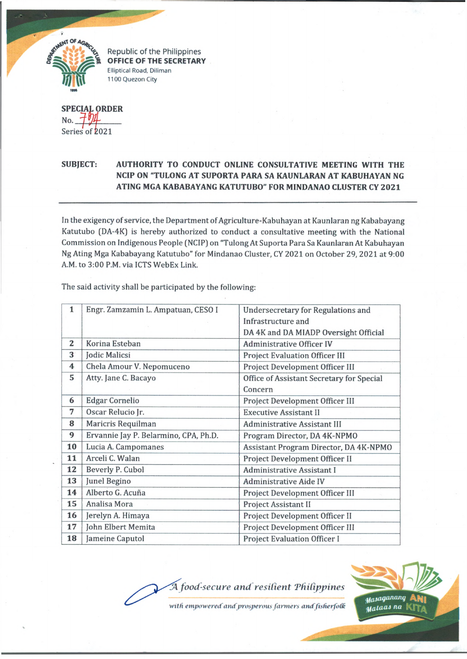

Republic of the Philippines OFFICE OF THE SECRETARY Elliptical Road, Diliman 1100 Quezon City

**SPECIAL ORDER** No. Series of 2021

## **SUBJECT: AUTHORITY TO CONDUCT ONLINE CONSULTATIVE MEETING WITH THE NCIP ON "TULONG AT SUPORTA PARA SA KAUNLARAN AT KABUHAYAN NG ATING MGA KABABAYANG KATUTUBO" FOR MINDANAO CLUSTER CY 2021**

In the exigency of service, the Department of Agriculture-Kabuhayan at Kaunlaran ng Kababayang Katutubo (DA-4K) is hereby authorized to conduct a consultative meeting with the National Commission on Indigenous People (NCIP) on "Tulong AtSuporta Para Sa Kaunlaran At Kabuhayan Ng Ating Mga Kababayang Katutubo" for Mindanao Cluster, CY 2021 on October 29, 2021 at 9:00 A.M. to 3:00 P.M. via ICTS WebEx Link.

| $\mathbf{1}$            | Engr. Zamzamin L. Ampatuan, CESO I    | <b>Undersecretary for Regulations and</b> |
|-------------------------|---------------------------------------|-------------------------------------------|
|                         |                                       | Infrastructure and                        |
|                         |                                       | DA 4K and DA MIADP Oversight Official     |
| 2                       | Korina Esteban                        | <b>Administrative Officer IV</b>          |
| $\overline{\mathbf{3}}$ | Jodic Malicsi                         | <b>Project Evaluation Officer III</b>     |
| 4                       | Chela Amour V. Nepomuceno             | Project Development Officer III           |
| 5                       | Atty. Jane C. Bacayo                  | Office of Assistant Secretary for Special |
|                         |                                       | Concern                                   |
| 6                       | <b>Edgar Cornelio</b>                 | Project Development Officer III           |
| 7                       | Oscar Relucio Jr.                     | <b>Executive Assistant II</b>             |
| 8                       | Maricris Requilman                    | Administrative Assistant III              |
| 9                       | Ervannie Jay P. Belarmino, CPA, Ph.D. | Program Director, DA 4K-NPMO              |
| 10                      | Lucia A. Campomanes                   | Assistant Program Director, DA 4K-NPMO    |
| 11                      | Arceli C. Walan                       | Project Development Officer II            |
| 12                      | Beverly P. Cubol                      | Administrative Assistant I                |
| 13                      | Junel Begino                          | <b>Administrative Aide IV</b>             |
| 14                      | Alberto G. Acuña                      | Project Development Officer III           |
| 15                      | Analisa Mora                          | Project Assistant II                      |
| 16                      | Jerelyn A. Himaya                     | Project Development Officer II            |
| 17                      | John Elbert Memita                    | Project Development Officer III           |
| 18                      | Jameine Caputol                       | <b>Project Evaluation Officer I</b>       |

The said activity shall be participated by the following:

A food-secure and resilient Philippines

with empowered and prosperous farmers and fisherfolk